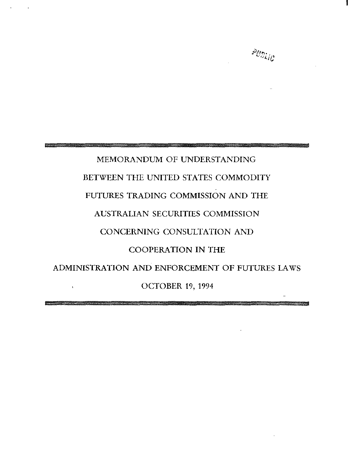

 $\rho_{\mathcal{V}ij_{\mathcal{C}}}$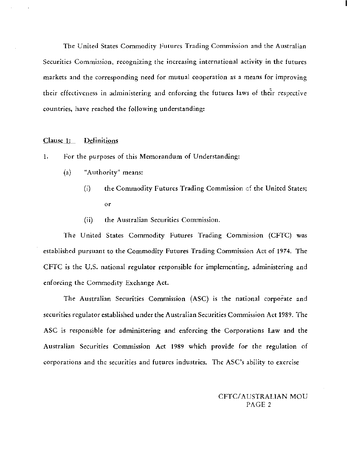The United States Commodity Futures Trading Commission and the Australian Securities Commission, recognizing the increasing international activity in the futures markets and the corresponding need for mutual cooperation as a means for improving their effectiveness in administering and enforcing the futures laws of their respective countries, have reached the following understanding:

### Clause 1: Definitions

- 1. For the purposes of this Memorandum of Understanding:
	- (a) "Authority" means:
		- (i) the Commodity Futures Trading Commission  $\mathfrak{c}$  the United States; or
		- (ii) the Australian Securities Commission.

The United States Commodity Futures Trading Commission (CFTC) was established pursuant to the Commodity Futures Trading Commission Act of 1974. The CFTC is the U.S. national regulator responsible for implementing, administering and enforcing the Commodity Exchange Act.

- The Australian Securities Commission (ASC) is the national corporate and securities regulator established under the Australian Securities Commission Act 1989. The ASC is responsible for administering and enforcing the Corporations Law and the Australian Securities Commission Act 1989 which provide for the regulation of corporations and the securities and futures industries. The ASC's ability to exercise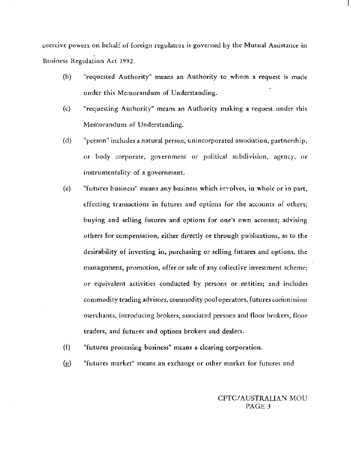coercive powers on behalf of foreign regulators is governed by the Mutual Assistance in Business Regulation Act 1992.

- (b) "requested Authority" means an Authority to whom a request is made under this Memorandum of Understanding.
- (c) "requesting Authority" means an Authority making a request under this Memorandum of Understanding.
- (d) "person" includes a natural person, unincorporated association, partnership, or body corporate, government or political subdivision, agency, or instrumentality of a government.
- (e) "futures business" means any business which involves, in whole or in part, effecting transactions in futures and options for the accounts of others; buying and selling futures and options for one's own account; advising others for compensation, either directly or through publications, as to the desirability of investing in, purchasing or selling futures and options, the management, promotion, offer or sale of any collective investment scheme; or equivalent activities conducted by persons or entities; and includes commodity trading advisors, commodity pool operators, futures commission merchants, introducing brokers, associated persons and floor brokers, floor traders, and futures and options brokers and dealers.
- (f) "futures processing business" means a-clearing corporation.
- (g) "futures market" means an exchange or other market for futures and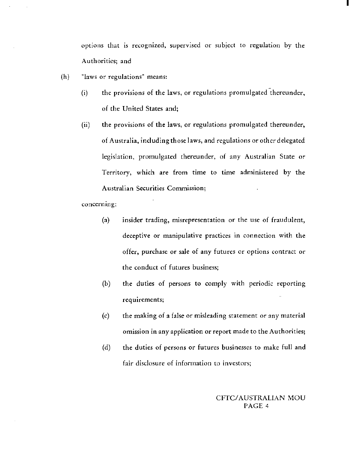options that is recognized, supervised or subject to regulation by the Authorities; and

I

- (h) "laws or regulations" means:
	- (i) the provisions of the laws, or regulations promulgated thereunder, of the United States and;
	- (ii) the provisions of the laws, or regulations promulgated thereunder, of Australia, including those laws, and regulations or other delegated legislation, promulgated thereunder, of any Australian State or Territory, which are from time to time administered by the Australian Securities Commission;

concerning:

- (a) insider trading, misrepresentation or the use of fraudulent, deceptive or manipulative practices in connection with the offer, purchase or sale of any futures or options contract or *the* conduct of futures business;
- (b) *the* duties of persons to comply with periodic reporting requirements;
- (c) the making of a false or misleading statement or any material omission in any application or report made to the Authorities;
- (d) the duties of persons or futures businesses to make full and fair disclosure of information to investors;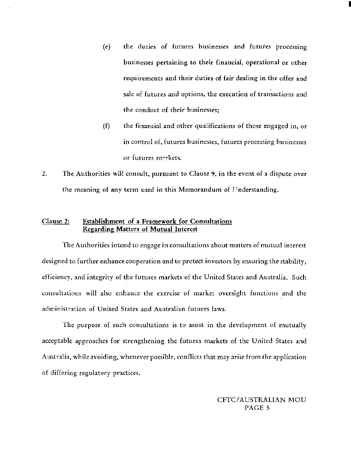(e) the duties of futures businesses and futures processing businesses pertaining to their financial, operational or other requirements and their duties of fair dealing in the offer and sale of futures and options, the execution of transactions and the conduct of their businesses;

I

- (f) the financial and other qualifications of those engaged in, or in control of, futures businesses, futures processing businesses or futures nrrkets.
- 2. The Authorities will consult, pursuant to Clause 9, in the event of a dispute over the meaning of any term used in this Memorandum of I Tnderstanding.

# Clause 2: Establishment of a Framework for Consultations Regarding Matters of Mutual Interest

The Authorities intend to engage in consultations about matters of mutual interest designed to further enhance cooperation and to protect investors by ensuring the stability, efficiency, and integrity of the futures markets of the United States and Australia. Such consultations will also enhance the exercise of market oversight functions and the administration of United States and Australian futures laws.

The purpose of such consultations is to assist in the development of mutually acceptable approaches for strengthening the futures markets of the United States and Australia, while avoiding, whenever possible, conflicts that may arise from the application of differing regulatory practices.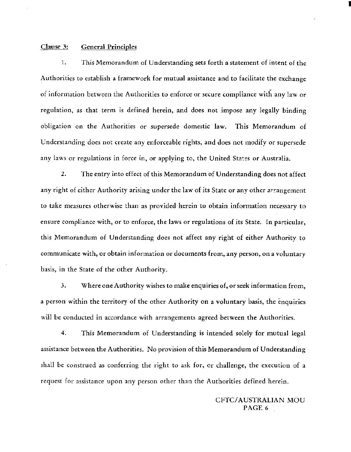### Clause 3: General Principles

1. This Memorandum of Understanding sets forth a statement of intent of the Authorities to establish a framework for mutual assistance and to facilitate the exchange of information between the Authorities to enforce or secure compliance with any law or regulation, as that term is defined herein, and does not impose any legally binding obligation on the Authorities or supersede domestic law. This Memorandum of Understanding does not create any enforceable rights, and does not modify or supersede any laws or regulations in force in, or applying to, the United States or Australia.

2. The entry into effect of this Memorandum of Understanding does not affect any right of either Authority arising under the law of its State or any other arrangement to take measures otherwise than as provided herein to obtain information necessary to ensure compliance with, or to enforce, the laws or regulations of its State. In particular, this Memorandum of Understanding does not affect any right of either Authority to communicate with, or obtain information or documents from, any person, on a voluntary basis, in the State of the other Authority.

3. Where one Authority wishes to make enquiries of, or seek information from, a person within the territory of the other Authority on a voluntary basis, the enquiries will be conducted in accordance with arrangements agreed between the Authorities.

4. This Memorandum of Understanding is intended solely for mutual legal assistance between the Authorities. No provision of this Memorandum of Understanding shall be construed as conferring the right to ask for, or challenge, the execution of a request for assistance upon any person other than the Authorities defined herein.

> CFTC/ AUSTRALIAN MOU PAGE 6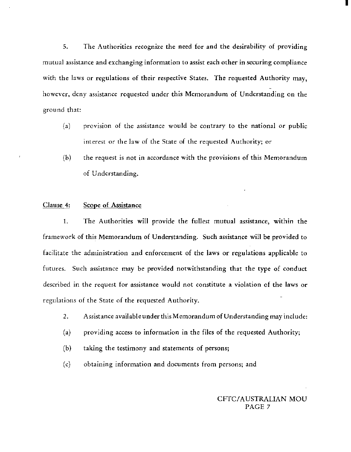5. The Authorities recognize the need for and the desirability of providing mutual assistance and exchanging information to assist each other in securing compliance with the laws or regulations of their respective States. The requested Authority may, however, deny assistance requested under this Memorandum of Understanding on the ground that:

- $(a)$  provision of the assistance would be contrary to the national or public interest or the law of the State of the requested Authority; or
- (b) the request is not in accordance with the provisions of this Memorandum of Understanding.

# Clause 4: Scope of Assistance

I. The Authorities will provide the fullest mutual assistance, within the framework of this Memorandum of Understanding. Such assistance will be provided to facilitate the administration and enforcement of the laws or regulations applicable to futures. Such assistance may be provided notwithstanding that the type of conduct described in the request for assistance would not constitute a violation of the laws or regulations of the State of the requested Authority.

- 2. Assistance available under this Memorandum of Understanding may include:
- (a) providing access to information in the files of the requested Authority;
- (b) taking the testimony and statements of persons;
- (c) obtaining information and documents from persons; and

# CFTC/ AUSTRALIAN MOU PAGE 7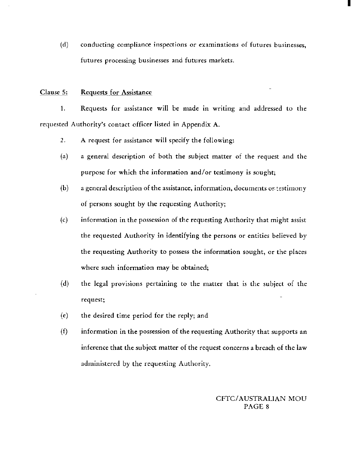(d) conducting compliance inspections or examinations of futures businesses, futures processing businesses and futures markets.

### Clause 5: Requests for Assistance

1. Requests for assistance will be made in writing and addressed to the requested Authority's contact officer listed in Appendix A.

2. A request for assistance will specify the following:

- (a) a general description of both the subject matter of the request and the purpose for which the information and/or testimony is sought;
- $(b)$  a general description of the assistance, information, documents or testimony of persons sought by the requesting Authority;
- (c) information in the possession of the requesting Authority that might assist the requested Authority in identifying the persons or entities believed by the requesting Authority to possess the information sought, or the places where such information may be obtained;
- (d) the legal provisions pertaining to the matter that is the subject of the request;
- (e) the desired time period for the reply; and
- (f) information in the possession of the requesting Authority that supports an inference that the subject matter of the request concerns a breach of the law administered by the requesting Authority.

# CFTC/ AUSTRALIAN MOU PAGE 8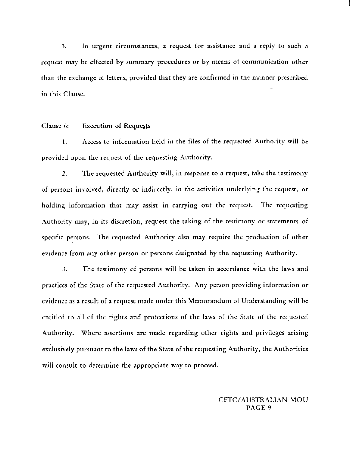3. In urgent circumstances, a request for assistance and a reply to such a request may be effected by summary procedures or by means of communication other than the exchange of letters, provided that they are confirmed in the manner prescribed in this Clause.

### Clause 6: Execution of Requests

1. Access to information held in the files of the requested Authority will be provided upon the request of the requesting Authority.

2. The requested Authority will, in response to a request, take the testimony of persons involved, directly or indirectly, in the activities underlying the request, or holding information that may assist in carrying out the request. The requesting Authority may, in its discretion, request the taking of the testimony or statements of specific persons. The requested Authority also may require the production of other evidence from any other person or persons designated by the requesting Authority.

3. The testimony of persons will be taken in accordance with the laws and practices of the State of the requested Authority. Any person providing information or evidence as a result of a request made under this Memorandum of Understanding will be entitled to all of the rights and protections of the laws of the State of the requested Authority. Where assertions are made regarding other rights and privileges arising exclusively pursuant to the laws of the State of the requesting Authority, the Authorities will consult to determine the appropriate way to proceed.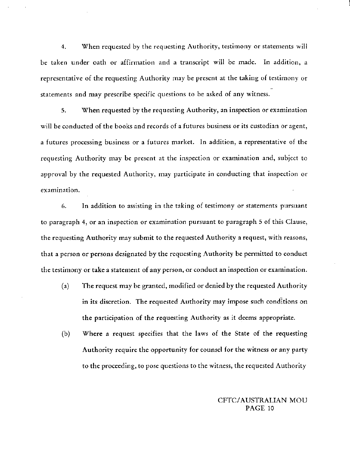4. When requested by the requesting Authority, testimony or statements will be taken under oath or affirmation and a transcript will be made. In addition, a representative of the requesting Authority may be present at the taking of testimony or statements and may prescribe specific questions to be asked of any witness.

5. When requested by the requesting Authority, an inspection or examination will be conducted of the books and records of a futures business or its custodian or agent, a futures processing business or a futures market. In addition, a representative of the requesting Authority may be present at the inspection or examination and, subject to approval by the requested Authority, may participate in conducting that inspection or examination.

6. In addition to assisting in the taking of testimony or statements pursuant to paragraph 4, or an inspection or examination pursuant to paragraph 5 of this Clause, the requesting Authority may submit to the requested Authority a request, with reasons, that a person or persons designated by the requesting Authority be permitted to conduct the testimony or take a statement of any person, or conduct an inspection or examination.

- (a) The request may be granted, modified or denied by the requested Authority in its discretion. The requested Authority may impose such conditions on the participation of the requesting Authority as it deems appropriate.
- (b) Where a request specifics that the laws of the State of the requesting Authority require the opportunity for counsel for the witness or any party to the proceeding, to pose questions to the witness, the requested Authority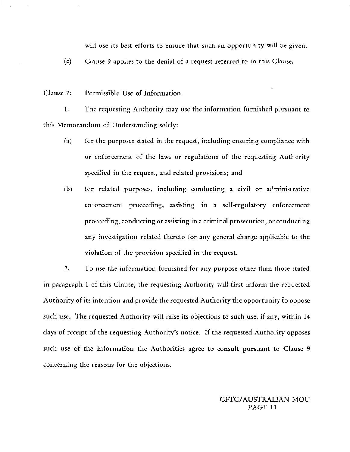will use its best efforts to *ensure* that such an opportunity will be given.

(c) Clause 9 applies to the denial of a request referred to in this Clause.

### Clause 7: Permissible Use of Information

I. The requesting Authority may use the information furnished pursuant to this Memorandum of Understanding solely:

- $(a)$  for the purposes stated in the request, including ensuring compliance with or enfercement of the laws or regulations of the requesting Authority specified in the request, and related provisions; and
- $(b)$  for related purposes, including conducting a civil or administrative enforcement proceeding, assisting in a self-regulatory enforcement proceeding, conducting or assisting in a criminal prosecution, or conducting any investigation related thereto for any general charge applicable to the violation of the provision specified in the request.

2. To use the information furnished for any purpose other than those stated in paragraph 1 of this Clause, the requesting Authority will first inform the requested Authority of its intention and provide the requested Authority the opportunity to oppose such use. The requested Authority will raise its objections to such use, if any, within 14 days of receipt of the requesting Authority's notice. If the requested Authority opposes such use of the information the Authorities agree to consult pursuant to Clause 9 concerning the reasons for the objections.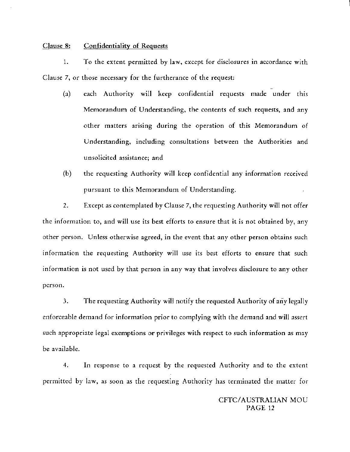#### Clause 8: Confidentiality of Requests

I. To the extent permitted by law, except for disclosures in accordance with Clause 7, or those necessary for the furtherance of the request:

- (a) each Authority will keep confidential requests made under this Memorandum of Understanding, the contents of such requests, and any other matters arising during the operation of this Memorandum of Understanding, including consultations between the Authorities and unsolicited assistance; and
- (b) the requesting Authority will keep confidential any information received pursuant to this Memorandum of Understanding.

2. Except as contemplated by Clause 7, the requesting Authority will not offer the information to, and will *use* its *best* efforts to ensure that it is not obtained by, any other person. Unless otherwise agreed, in the event that any other person obtains such information the requesting Authority will *use* its best efforts to ensure that such information is not used by that person in any way that involves disclosure to any other person.

3. The requesting Authority will notify the requested Authority of any legally enforceable demand for information prior to complying with the demand and will assert such appropriate legal exemptions or privileges with respect to such information as may be available.

4. In response to a request by the requested Authority and to the extent permitted by law, as soon as the requesting Authority has terminated the matter for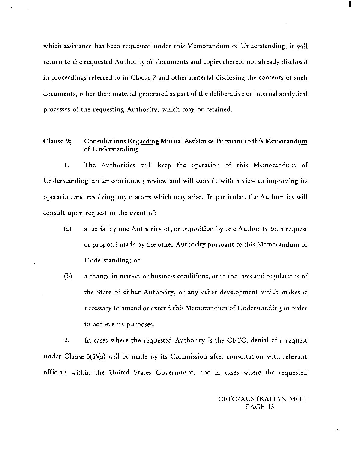which assistance has been requested under this Memorandum of Understanding, it will return to the requested Authority all documents and copies thereof not already disclosed in proceedings referred to in Clause 7 and other material disclosing the contents of such documents, other than material generated as part of the deliberative or internal analytical processes of the requesting Authority, which may be retained.

#### Clause 9: Consultations Regarding **Mutual** Assistance Pursuant to this Memorandum of Understanding

I. The Authorities will keep the operation of this Memorandum of Understanding under continuous review and will consult with a view to improving its operation and resolving any matters which may arise. In particular, the Authorities will consult upon request in the event of:

- (a) a denial by one Authority of, or opposition by one Authority to, a request or proposal made by the other Authority pursuant to this Memorandum of Understanding; or
- (b) a change in market or business conditions, or in the laws and regulations of the State of either Authority, or any other development which makes it necessary to amend or extend this Memorandum of Understanding in order to achieve its purposes.

2. In cases where the requested Authority is the CFTC, denial of a request under Clause 3{5)(a) will be made by its Commission after consultation with relevant officials within the United States Government, and in cases where the requested

> *CFTC!* AUSTRALIAN MOU PAGE 13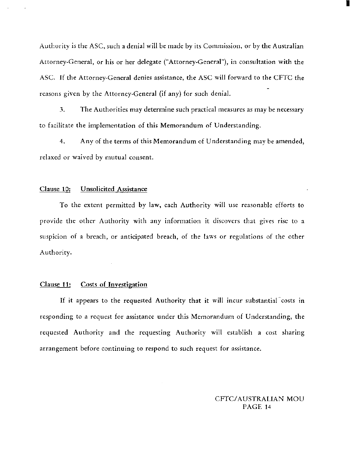Authority is the ASC, such a denial will be made by its Commission, or by the Australian Attorney-General, or his or her delegate ("Attorney-General"), in consultation with the ASC. If the Attorney-General denies assistance, the ASC will forward to the CFTC the reasons given by the Attorney-General (if any) for such denial.

3. The Authorities may determine such practical measures as may be necessary to facilitate the implementation of this Memorandum of Understanding.

4. Any of the terms of this Memorandum of Understanding may be amended, relaxed or waived by mutual consent.

### Clause 10; Unsolicited Assistance

To the extent permitted by law, each Authority will use reasonable efforts to provide the other Authority with any information it discovers that gives rise to a suspicion of a breach, or anticipated breach, of the laws or regulations of the other Authority.

### Clause 11: Costs of Investigation

If it appears to the requested Authority that it will incur substantial costs in responding to a request for assistance under this Memorandum of Understanding, the requested Authority and the requesting Authority will establish a cost sharing arrangement before continuing to respond to such request for assistance.

> CFTC/AUSTRALIAN MOU PAGE 14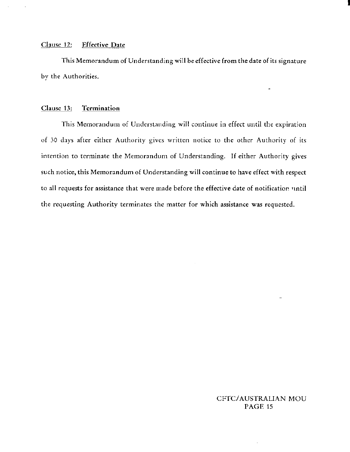### Clause 12: Effective Date

This Memorandum of Understanding will be effective from the date of its signature by the Authorities.

### Clause 13: Termination

This Memorandum of Understanding will continue in effect until the expiration of 30 days after either Authority gives written notice to the other Authority of its intention to terminate the Memorandum of Understanding. If either Authority gives such notice, this Memorandum of Understanding will continue to have *effect* with respect to all requests for assistance that were made before the effective date of notification until the requesting Authority terminates the matter for which assistance was requested.

# CFTC/ AUSTRALIAN MOU PAGE 15